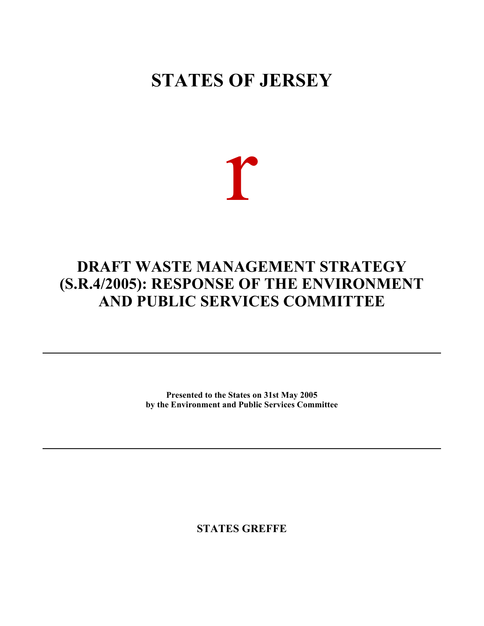## **STATES OF JERSEY**

# r

### **DRAFT WASTE MANAGEMENT STRATEGY (S.R.4/2005): RESPONSE OF THE ENVIRONMENT AND PUBLIC SERVICES COMMITTEE**

**Presented to the States on 31st May 2005 by the Environment and Public Services Committee**

**STATES GREFFE**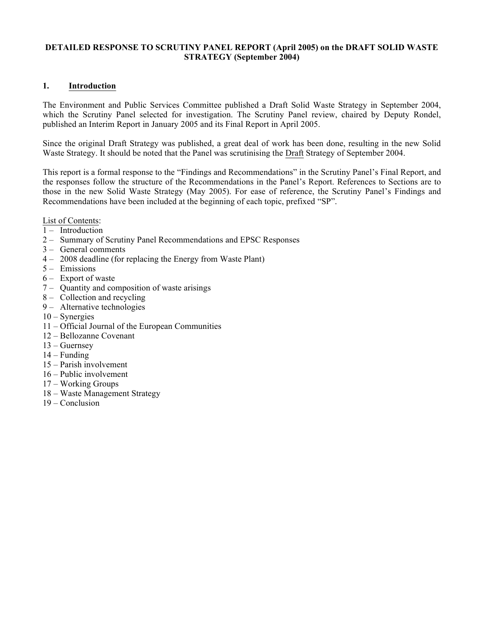#### **DETAILED RESPONSE TO SCRUTINY PANEL REPORT (April 2005) on the DRAFT SOLID WASTE STRATEGY (September 2004)**

#### **1. Introduction**

The Environment and Public Services Committee published a Draft Solid Waste Strategy in September 2004, which the Scrutiny Panel selected for investigation. The Scrutiny Panel review, chaired by Deputy Rondel, published an Interim Report in January 2005 and its Final Report in April 2005.

Since the original Draft Strategy was published, a great deal of work has been done, resulting in the new Solid Waste Strategy. It should be noted that the Panel was scrutinising the Draft Strategy of September 2004.

This report is a formal response to the "Findings and Recommendations" in the Scrutiny Panel's Final Report, and the responses follow the structure of the Recommendations in the Panel's Report. References to Sections are to those in the new Solid Waste Strategy (May 2005). For ease of reference, the Scrutiny Panel's Findings and Recommendations have been included at the beginning of each topic, prefixed "SP".

List of Contents:

- $1 Introduction$
- 2 Summary of Scrutiny Panel Recommendations and EPSC Responses
- 3 General comments
- 4 2008 deadline (for replacing the Energy from Waste Plant)
- 5 Emissions
- 6 Export of waste
- 7 Quantity and composition of waste arisings
- 8 Collection and recycling
- 9 Alternative technologies
- 10 Synergies
- 11 Official Journal of the European Communities
- 12 Bellozanne Covenant
- 13 Guernsey
- $14 -$ Funding
- 15 Parish involvement
- 16 Public involvement
- 17 Working Groups
- 18 Waste Management Strategy
- 19 Conclusion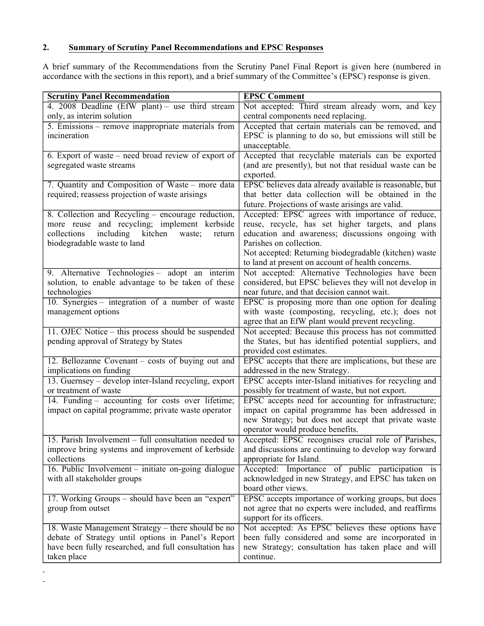#### **2. Summary of Scrutiny Panel Recommendations and EPSC Responses**

A brief summary of the Recommendations from the Scrutiny Panel Final Report is given here (numbered in accordance with the sections in this report), and a brief summary of the Committee's (EPSC) response is given.

| <b>Scrutiny Panel Recommendation</b>                    | <b>EPSC Comment</b>                                                                                       |
|---------------------------------------------------------|-----------------------------------------------------------------------------------------------------------|
| 4. 2008 Deadline (EfW plant) - use third stream         | Not accepted: Third stream already worn, and key                                                          |
| only, as interim solution                               | central components need replacing.                                                                        |
| 5. Emissions – remove inappropriate materials from      | Accepted that certain materials can be removed, and                                                       |
| incineration                                            | EPSC is planning to do so, but emissions will still be                                                    |
|                                                         | unacceptable.                                                                                             |
| 6. Export of waste – need broad review of export of     | Accepted that recyclable materials can be exported                                                        |
| segregated waste streams                                | (and are presently), but not that residual waste can be                                                   |
|                                                         | exported.                                                                                                 |
| 7. Quantity and Composition of Waste – more data        | EPSC believes data already available is reasonable, but                                                   |
| required; reassess projection of waste arisings         | that better data collection will be obtained in the                                                       |
|                                                         | future. Projections of waste arisings are valid.                                                          |
| 8. Collection and Recycling – encourage reduction,      | Accepted: EPSC agrees with importance of reduce,                                                          |
| more reuse and recycling; implement kerbside            | reuse, recycle, has set higher targets, and plans                                                         |
| including<br>kitchen<br>collections<br>waste;<br>return | education and awareness; discussions ongoing with                                                         |
| biodegradable waste to land                             | Parishes on collection.                                                                                   |
|                                                         | Not accepted: Returning biodegradable (kitchen) waste                                                     |
|                                                         | to land at present on account of health concerns.                                                         |
| 9. Alternative Technologies - adopt an interim          | Not accepted: Alternative Technologies have been                                                          |
| solution, to enable advantage to be taken of these      | considered, but EPSC believes they will not develop in                                                    |
| technologies                                            | near future, and that decision cannot wait.                                                               |
| 10. Synergies - integration of a number of waste        | EPSC is proposing more than one option for dealing                                                        |
| management options                                      | with waste (composting, recycling, etc.); does not                                                        |
|                                                         | agree that an EfW plant would prevent recycling.                                                          |
| 11. OJEC Notice – this process should be suspended      | Not accepted: Because this process has not committed                                                      |
| pending approval of Strategy by States                  | the States, but has identified potential suppliers, and                                                   |
|                                                         | provided cost estimates.                                                                                  |
| 12. Bellozanne Covenant - costs of buying out and       | EPSC accepts that there are implications, but these are                                                   |
| implications on funding                                 | addressed in the new Strategy.                                                                            |
| 13. Guernsey – develop inter-Island recycling, export   | EPSC accepts inter-Island initiatives for recycling and                                                   |
| or treatment of waste                                   | possibly for treatment of waste, but not export.                                                          |
| 14. Funding – accounting for costs over lifetime;       | EPSC accepts need for accounting for infrastructure;                                                      |
| impact on capital programme; private waste operator     | impact on capital programme has been addressed in<br>new Strategy; but does not accept that private waste |
|                                                         | operator would produce benefits.                                                                          |
| 15. Parish Involvement – full consultation needed to    | Accepted: EPSC recognises crucial role of Parishes,                                                       |
| improve bring systems and improvement of kerbside       | and discussions are continuing to develop way forward                                                     |
| collections                                             | appropriate for Island.                                                                                   |
| 16. Public Involvement – initiate on-going dialogue     | Accepted: Importance of public participation is                                                           |
| with all stakeholder groups                             | acknowledged in new Strategy, and EPSC has taken on                                                       |
|                                                         | board other views.                                                                                        |
| 17. Working Groups – should have been an "expert"       | EPSC accepts importance of working groups, but does                                                       |
| group from outset                                       | not agree that no experts were included, and reaffirms                                                    |
|                                                         | support for its officers.                                                                                 |
| 18. Waste Management Strategy – there should be no      | Not accepted: As EPSC believes these options have                                                         |
| debate of Strategy until options in Panel's Report      | been fully considered and some are incorporated in                                                        |
| have been fully researched, and full consultation has   | new Strategy; consultation has taken place and will                                                       |
| taken place                                             | continue.                                                                                                 |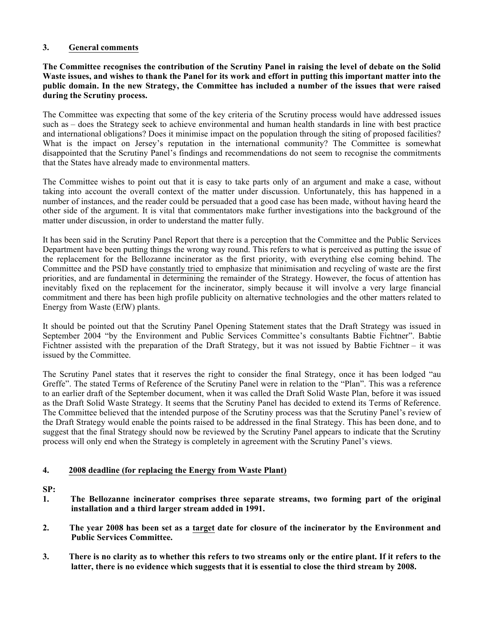#### **3. General comments**

**The Committee recognises the contribution of the Scrutiny Panel in raising the level of debate on the Solid Waste issues, and wishes to thank the Panel for its work and effort in putting this important matter into the public domain. In the new Strategy, the Committee has included a number of the issues that were raised during the Scrutiny process.**

The Committee was expecting that some of the key criteria of the Scrutiny process would have addressed issues such as – does the Strategy seek to achieve environmental and human health standards in line with best practice and international obligations? Does it minimise impact on the population through the siting of proposed facilities? What is the impact on Jersey's reputation in the international community? The Committee is somewhat disappointed that the Scrutiny Panel's findings and recommendations do not seem to recognise the commitments that the States have already made to environmental matters.

The Committee wishes to point out that it is easy to take parts only of an argument and make a case, without taking into account the overall context of the matter under discussion. Unfortunately, this has happened in a number of instances, and the reader could be persuaded that a good case has been made, without having heard the other side of the argument. It is vital that commentators make further investigations into the background of the matter under discussion, in order to understand the matter fully.

It has been said in the Scrutiny Panel Report that there is a perception that the Committee and the Public Services Department have been putting things the wrong way round. This refers to what is perceived as putting the issue of the replacement for the Bellozanne incinerator as the first priority, with everything else coming behind. The Committee and the PSD have constantly tried to emphasize that minimisation and recycling of waste are the first priorities, and are fundamental in determining the remainder of the Strategy. However, the focus of attention has inevitably fixed on the replacement for the incinerator, simply because it will involve a very large financial commitment and there has been high profile publicity on alternative technologies and the other matters related to Energy from Waste (EfW) plants.

It should be pointed out that the Scrutiny Panel Opening Statement states that the Draft Strategy was issued in September 2004 "by the Environment and Public Services Committee's consultants Babtie Fichtner". Babtie Fichtner assisted with the preparation of the Draft Strategy, but it was not issued by Babtie Fichtner – it was issued by the Committee.

The Scrutiny Panel states that it reserves the right to consider the final Strategy, once it has been lodged "au Greffe". The stated Terms of Reference of the Scrutiny Panel were in relation to the "Plan". This was a reference to an earlier draft of the September document, when it was called the Draft Solid Waste Plan, before it was issued as the Draft Solid Waste Strategy. It seems that the Scrutiny Panel has decided to extend its Terms of Reference. The Committee believed that the intended purpose of the Scrutiny process was that the Scrutiny Panel's review of the Draft Strategy would enable the points raised to be addressed in the final Strategy. This has been done, and to suggest that the final Strategy should now be reviewed by the Scrutiny Panel appears to indicate that the Scrutiny process will only end when the Strategy is completely in agreement with the Scrutiny Panel's views.

#### **4. 2008 deadline (for replacing the Energy from Waste Plant)**

- **1. The Bellozanne incinerator comprises three separate streams, two forming part of the original installation and a third larger stream added in 1991.**
- **2. The year 2008 has been set as a target date for closure of the incinerator by the Environment and Public Services Committee.**
- **3. There is no clarity as to whether this refers to two streams only or the entire plant. If it refers to the latter, there is no evidence which suggests that it is essential to close the third stream by 2008.**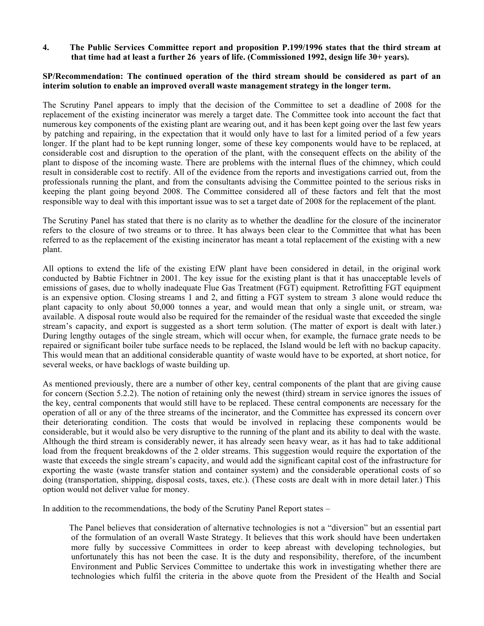**4. The Public Services Committee report and proposition P.199/1996 states that the third stream at that time had at least a further 26 years of life. (Commissioned 1992, design life 30+ years).**

#### **SP/Recommendation: The continued operation of the third stream should be considered as part of an interim solution to enable an improved overall waste management strategy in the longer term.**

The Scrutiny Panel appears to imply that the decision of the Committee to set a deadline of 2008 for the replacement of the existing incinerator was merely a target date. The Committee took into account the fact that numerous key components of the existing plant are wearing out, and it has been kept going over the last few years by patching and repairing, in the expectation that it would only have to last for a limited period of a few years longer. If the plant had to be kept running longer, some of these key components would have to be replaced, at considerable cost and disruption to the operation of the plant, with the consequent effects on the ability of the plant to dispose of the incoming waste. There are problems with the internal flues of the chimney, which could result in considerable cost to rectify. All of the evidence from the reports and investigations carried out, from the professionals running the plant, and from the consultants advising the Committee pointed to the serious risks in keeping the plant going beyond 2008. The Committee considered all of these factors and felt that the most responsible way to deal with this important issue was to set a target date of 2008 for the replacement of the plant.

The Scrutiny Panel has stated that there is no clarity as to whether the deadline for the closure of the incinerator refers to the closure of two streams or to three. It has always been clear to the Committee that what has been referred to as the replacement of the existing incinerator has meant a total replacement of the existing with a new plant.

All options to extend the life of the existing EfW plant have been considered in detail, in the original work conducted by Babtie Fichtner in 2001. The key issue for the existing plant is that it has unacceptable levels of emissions of gases, due to wholly inadequate Flue Gas Treatment (FGT) equipment. Retrofitting FGT equipment is an expensive option. Closing streams 1 and 2, and fitting a FGT system to stream 3 alone would reduce the plant capacity to only about 50,000 tonnes a year, and would mean that only a single unit, or stream, was available. A disposal route would also be required for the remainder of the residual waste that exceeded the single stream's capacity, and export is suggested as a short term solution. (The matter of export is dealt with later.) During lengthy outages of the single stream, which will occur when, for example, the furnace grate needs to be repaired or significant boiler tube surface needs to be replaced, the Island would be left with no backup capacity. This would mean that an additional considerable quantity of waste would have to be exported, at short notice, for several weeks, or have backlogs of waste building up.

As mentioned previously, there are a number of other key, central components of the plant that are giving cause for concern (Section 5.2.2). The notion of retaining only the newest (third) stream in service ignores the issues of the key, central components that would still have to be replaced. These central components are necessary for the operation of all or any of the three streams of the incinerator, and the Committee has expressed its concern over their deteriorating condition. The costs that would be involved in replacing these components would be considerable, but it would also be very disruptive to the running of the plant and its ability to deal with the waste. Although the third stream is considerably newer, it has already seen heavy wear, as it has had to take additional load from the frequent breakdowns of the 2 older streams. This suggestion would require the exportation of the waste that exceeds the single stream's capacity, and would add the significant capital cost of the infrastructure for exporting the waste (waste transfer station and container system) and the considerable operational costs of so doing (transportation, shipping, disposal costs, taxes, etc.). (These costs are dealt with in more detail later.) This option would not deliver value for money.

In addition to the recommendations, the body of the Scrutiny Panel Report states –

 The Panel believes that consideration of alternative technologies is not a "diversion" but an essential part of the formulation of an overall Waste Strategy. It believes that this work should have been undertaken more fully by successive Committees in order to keep abreast with developing technologies, but unfortunately this has not been the case. It is the duty and responsibility, therefore, of the incumbent Environment and Public Services Committee to undertake this work in investigating whether there are technologies which fulfil the criteria in the above quote from the President of the Health and Social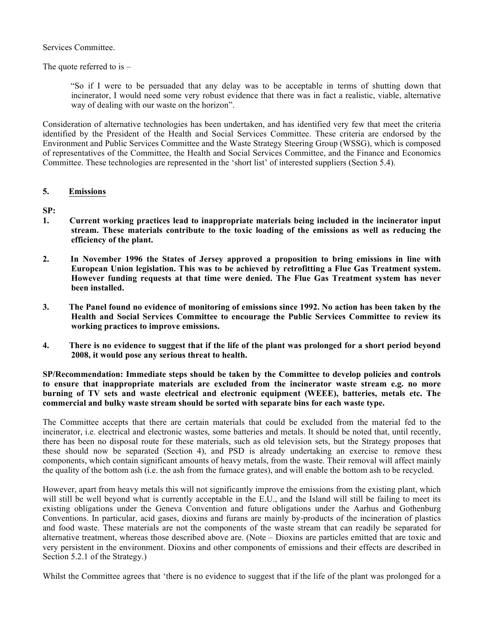Services Committee.

The quote referred to is  $-$ 

 "So if I were to be persuaded that any delay was to be acceptable in terms of shutting down that incinerator, I would need some very robust evidence that there was in fact a realistic, viable, alternative way of dealing with our waste on the horizon".

Consideration of alternative technologies has been undertaken, and has identified very few that meet the criteria identified by the President of the Health and Social Services Committee. These criteria are endorsed by the Environment and Public Services Committee and the Waste Strategy Steering Group (WSSG), which is composed of representatives of the Committee, the Health and Social Services Committee, and the Finance and Economics Committee. These technologies are represented in the 'short list' of interested suppliers (Section 5.4).

#### **5. Emissions**

**SP:**

- **1. Current working practices lead to inappropriate materials being included in the incinerator input stream. These materials contribute to the toxic loading of the emissions as well as reducing the efficiency of the plant.**
- **2. In November 1996 the States of Jersey approved a proposition to bring emissions in line with European Union legislation. This was to be achieved by retrofitting a Flue Gas Treatment system. However funding requests at that time were denied. The Flue Gas Treatment system has never been installed.**
- **3. The Panel found no evidence of monitoring of emissions since 1992. No action has been taken by the Health and Social Services Committee to encourage the Public Services Committee to review its working practices to improve emissions.**
- **4. There is no evidence to suggest that if the life of the plant was prolonged for a short period beyond 2008, it would pose any serious threat to health.**

**SP/Recommendation: Immediate steps should be taken by the Committee to develop policies and controls to ensure that inappropriate materials are excluded from the incinerator waste stream e.g. no more burning of TV sets and waste electrical and electronic equipment (WEEE), batteries, metals etc. The commercial and bulky waste stream should be sorted with separate bins for each waste type.**

The Committee accepts that there are certain materials that could be excluded from the material fed to the incinerator, i.e. electrical and electronic wastes, some batteries and metals. It should be noted that, until recently, there has been no disposal route for these materials, such as old television sets, but the Strategy proposes that these should now be separated (Section 4), and PSD is already undertaking an exercise to remove these components, which contain significant amounts of heavy metals, from the waste. Their removal will affect mainly the quality of the bottom ash (i.e. the ash from the furnace grates), and will enable the bottom ash to be recycled.

However, apart from heavy metals this will not significantly improve the emissions from the existing plant, which will still be well beyond what is currently acceptable in the E.U., and the Island will still be failing to meet its existing obligations under the Geneva Convention and future obligations under the Aarhus and Gothenburg Conventions. In particular, acid gases, dioxins and furans are mainly by-products of the incineration of plastics and food waste. These materials are not the components of the waste stream that can readily be separated for alternative treatment, whereas those described above are. (Note – Dioxins are particles emitted that are toxic and very persistent in the environment. Dioxins and other components of emissions and their effects are described in Section 5.2.1 of the Strategy.)

Whilst the Committee agrees that 'there is no evidence to suggest that if the life of the plant was prolonged for a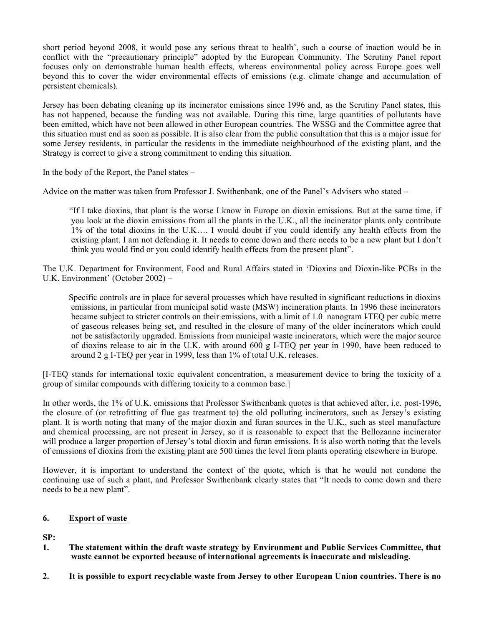short period beyond 2008, it would pose any serious threat to health', such a course of inaction would be in conflict with the "precautionary principle" adopted by the European Community. The Scrutiny Panel report focuses only on demonstrable human health effects, whereas environmental policy across Europe goes well beyond this to cover the wider environmental effects of emissions (e.g. climate change and accumulation of persistent chemicals).

Jersey has been debating cleaning up its incinerator emissions since 1996 and, as the Scrutiny Panel states, this has not happened, because the funding was not available. During this time, large quantities of pollutants have been emitted, which have not been allowed in other European countries. The WSSG and the Committee agree that this situation must end as soon as possible. It is also clear from the public consultation that this is a major issue for some Jersey residents, in particular the residents in the immediate neighbourhood of the existing plant, and the Strategy is correct to give a strong commitment to ending this situation.

In the body of the Report, the Panel states –

Advice on the matter was taken from Professor J. Swithenbank, one of the Panel's Advisers who stated –

 "If I take dioxins, that plant is the worse I know in Europe on dioxin emissions. But at the same time, if you look at the dioxin emissions from all the plants in the U.K., all the incinerator plants only contribute 1% of the total dioxins in the U.K…. I would doubt if you could identify any health effects from the existing plant. I am not defending it. It needs to come down and there needs to be a new plant but I don't think you would find or you could identify health effects from the present plant".

The U.K. Department for Environment, Food and Rural Affairs stated in 'Dioxins and Dioxin-like PCBs in the U.K. Environment' (October 2002) –

 Specific controls are in place for several processes which have resulted in significant reductions in dioxins emissions, in particular from municipal solid waste (MSW) incineration plants. In 1996 these incinerators became subject to stricter controls on their emissions, with a limit of 1.0 nanogram ITEQ per cubic metre of gaseous releases being set, and resulted in the closure of many of the older incinerators which could not be satisfactorily upgraded. Emissions from municipal waste incinerators, which were the major source of dioxins release to air in the U.K. with around 600 g I-TEQ per year in 1990, have been reduced to around 2 g I-TEQ per year in 1999, less than 1% of total U.K. releases.

[I-TEQ stands for international toxic equivalent concentration, a measurement device to bring the toxicity of a group of similar compounds with differing toxicity to a common base.]

In other words, the 1% of U.K. emissions that Professor Swithenbank quotes is that achieved after, i.e. post-1996, the closure of (or retrofitting of flue gas treatment to) the old polluting incinerators, such as Jersey's existing plant. It is worth noting that many of the major dioxin and furan sources in the U.K., such as steel manufacture and chemical processing, are not present in Jersey, so it is reasonable to expect that the Bellozanne incinerator will produce a larger proportion of Jersey's total dioxin and furan emissions. It is also worth noting that the levels of emissions of dioxins from the existing plant are 500 times the level from plants operating elsewhere in Europe.

However, it is important to understand the context of the quote, which is that he would not condone the continuing use of such a plant, and Professor Swithenbank clearly states that "It needs to come down and there needs to be a new plant".

#### **6. Export of waste**

- **1. The statement within the draft waste strategy by Environment and Public Services Committee, that waste cannot be exported because of international agreements is inaccurate and misleading.**
- **2. It is possible to export recyclable waste from Jersey to other European Union countries. There is no**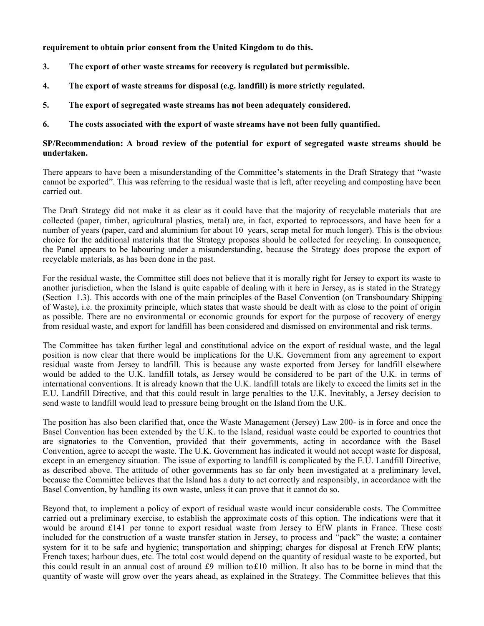**requirement to obtain prior consent from the United Kingdom to do this.**

- **3. The export of other waste streams for recovery is regulated but permissible.**
- **4. The export of waste streams for disposal (e.g. landfill) is more strictly regulated.**
- **5. The export of segregated waste streams has not been adequately considered.**
- **6. The costs associated with the export of waste streams have not been fully quantified.**

#### **SP/Recommendation: A broad review of the potential for export of segregated waste streams should be undertaken.**

There appears to have been a misunderstanding of the Committee's statements in the Draft Strategy that "waste cannot be exported". This was referring to the residual waste that is left, after recycling and composting have been carried out.

The Draft Strategy did not make it as clear as it could have that the majority of recyclable materials that are collected (paper, timber, agricultural plastics, metal) are, in fact, exported to reprocessors, and have been for a number of years (paper, card and aluminium for about 10 years, scrap metal for much longer). This is the obvious choice for the additional materials that the Strategy proposes should be collected for recycling. In consequence, the Panel appears to be labouring under a misunderstanding, because the Strategy does propose the export of recyclable materials, as has been done in the past.

For the residual waste, the Committee still does not believe that it is morally right for Jersey to export its waste to another jurisdiction, when the Island is quite capable of dealing with it here in Jersey, as is stated in the Strategy (Section 1.3). This accords with one of the main principles of the Basel Convention (on Transboundary Shipping of Waste), i.e. the proximity principle, which states that waste should be dealt with as close to the point of origin as possible. There are no environmental or economic grounds for export for the purpose of recovery of energy from residual waste, and export for landfill has been considered and dismissed on environmental and risk terms.

The Committee has taken further legal and constitutional advice on the export of residual waste, and the legal position is now clear that there would be implications for the U.K. Government from any agreement to export residual waste from Jersey to landfill. This is because any waste exported from Jersey for landfill elsewhere would be added to the U.K. landfill totals, as Jersey would be considered to be part of the U.K. in terms of international conventions. It is already known that the U.K. landfill totals are likely to exceed the limits set in the E.U. Landfill Directive, and that this could result in large penalties to the U.K. Inevitably, a Jersey decision to send waste to landfill would lead to pressure being brought on the Island from the U.K.

The position has also been clarified that, once the Waste Management (Jersey) Law 200- is in force and once the Basel Convention has been extended by the U.K. to the Island, residual waste could be exported to countries that are signatories to the Convention, provided that their governments, acting in accordance with the Basel Convention, agree to accept the waste. The U.K. Government has indicated it would not accept waste for disposal, except in an emergency situation. The issue of exporting to landfill is complicated by the E.U. Landfill Directive, as described above. The attitude of other governments has so far only been investigated at a preliminary level, because the Committee believes that the Island has a duty to act correctly and responsibly, in accordance with the Basel Convention, by handling its own waste, unless it can prove that it cannot do so.

Beyond that, to implement a policy of export of residual waste would incur considerable costs. The Committee carried out a preliminary exercise, to establish the approximate costs of this option. The indications were that it would be around £141 per tonne to export residual waste from Jersey to EfW plants in France. These costs included for the construction of a waste transfer station in Jersey, to process and "pack" the waste; a container system for it to be safe and hygienic; transportation and shipping; charges for disposal at French EfW plants; French taxes; harbour dues, etc. The total cost would depend on the quantity of residual waste to be exported, but this could result in an annual cost of around £9 million to£10 million. It also has to be borne in mind that the quantity of waste will grow over the years ahead, as explained in the Strategy. The Committee believes that this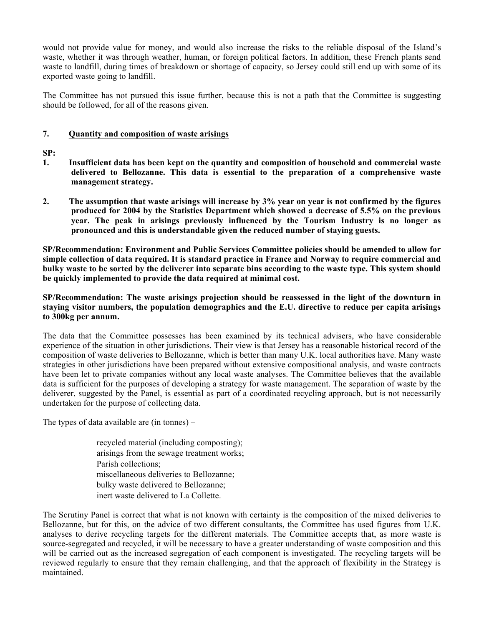would not provide value for money, and would also increase the risks to the reliable disposal of the Island's waste, whether it was through weather, human, or foreign political factors. In addition, these French plants send waste to landfill, during times of breakdown or shortage of capacity, so Jersey could still end up with some of its exported waste going to landfill.

The Committee has not pursued this issue further, because this is not a path that the Committee is suggesting should be followed, for all of the reasons given.

#### **7. Quantity and composition of waste arisings**

#### **SP:**

- **1. Insufficient data has been kept on the quantity and composition of household and commercial waste delivered to Bellozanne. This data is essential to the preparation of a comprehensive waste management strategy.**
- **2. The assumption that waste arisings will increase by 3% year on year is not confirmed by the figures produced for 2004 by the Statistics Department which showed a decrease of 5.5% on the previous year. The peak in arisings previously influenced by the Tourism Industry is no longer as pronounced and this is understandable given the reduced number of staying guests.**

**SP/Recommendation: Environment and Public Services Committee policies should be amended to allow for simple collection of data required. It is standard practice in France and Norway to require commercial and bulky waste to be sorted by the deliverer into separate bins according to the waste type. This system should be quickly implemented to provide the data required at minimal cost.**

#### **SP/Recommendation: The waste arisings projection should be reassessed in the light of the downturn in staying visitor numbers, the population demographics and the E.U. directive to reduce per capita arisings to 300kg per annum.**

The data that the Committee possesses has been examined by its technical advisers, who have considerable experience of the situation in other jurisdictions. Their view is that Jersey has a reasonable historical record of the composition of waste deliveries to Bellozanne, which is better than many U.K. local authorities have. Many waste strategies in other jurisdictions have been prepared without extensive compositional analysis, and waste contracts have been let to private companies without any local waste analyses. The Committee believes that the available data is sufficient for the purposes of developing a strategy for waste management. The separation of waste by the deliverer, suggested by the Panel, is essential as part of a coordinated recycling approach, but is not necessarily undertaken for the purpose of collecting data.

The types of data available are (in tonnes) –

 recycled material (including composting); arisings from the sewage treatment works; Parish collections; miscellaneous deliveries to Bellozanne; bulky waste delivered to Bellozanne; inert waste delivered to La Collette.

The Scrutiny Panel is correct that what is not known with certainty is the composition of the mixed deliveries to Bellozanne, but for this, on the advice of two different consultants, the Committee has used figures from U.K. analyses to derive recycling targets for the different materials. The Committee accepts that, as more waste is source-segregated and recycled, it will be necessary to have a greater understanding of waste composition and this will be carried out as the increased segregation of each component is investigated. The recycling targets will be reviewed regularly to ensure that they remain challenging, and that the approach of flexibility in the Strategy is maintained.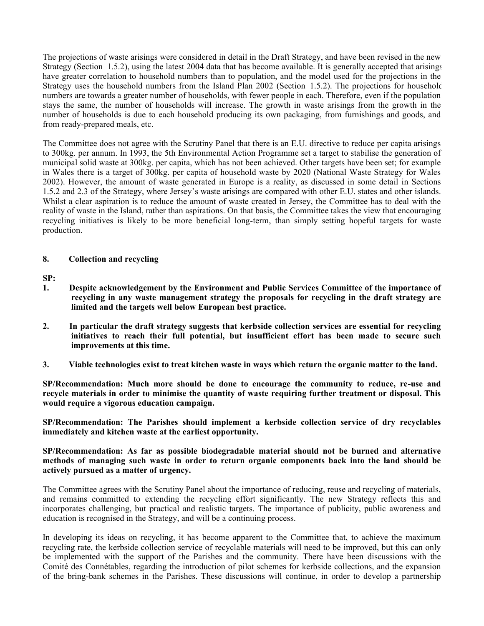The projections of waste arisings were considered in detail in the Draft Strategy, and have been revised in the new Strategy (Section 1.5.2), using the latest 2004 data that has become available. It is generally accepted that arisings have greater correlation to household numbers than to population, and the model used for the projections in the Strategy uses the household numbers from the Island Plan 2002 (Section 1.5.2). The projections for household numbers are towards a greater number of households, with fewer people in each. Therefore, even if the population stays the same, the number of households will increase. The growth in waste arisings from the growth in the number of households is due to each household producing its own packaging, from furnishings and goods, and from ready-prepared meals, etc.

The Committee does not agree with the Scrutiny Panel that there is an E.U. directive to reduce per capita arisings to 300kg. per annum. In 1993, the 5th Environmental Action Programme set a target to stabilise the generation of municipal solid waste at 300kg. per capita, which has not been achieved. Other targets have been set; for example in Wales there is a target of 300kg. per capita of household waste by 2020 (National Waste Strategy for Wales 2002). However, the amount of waste generated in Europe is a reality, as discussed in some detail in Sections 1.5.2 and 2.3 of the Strategy, where Jersey's waste arisings are compared with other E.U. states and other islands. Whilst a clear aspiration is to reduce the amount of waste created in Jersey, the Committee has to deal with the reality of waste in the Island, rather than aspirations. On that basis, the Committee takes the view that encouraging recycling initiatives is likely to be more beneficial long-term, than simply setting hopeful targets for waste production.

#### **8. Collection and recycling**

**SP:**

- **1. Despite acknowledgement by the Environment and Public Services Committee of the importance of recycling in any waste management strategy the proposals for recycling in the draft strategy are limited and the targets well below European best practice.**
- **2. In particular the draft strategy suggests that kerbside collection services are essential for recycling initiatives to reach their full potential, but insufficient effort has been made to secure such improvements at this time.**
- **3. Viable technologies exist to treat kitchen waste in ways which return the organic matter to the land.**

**SP/Recommendation: Much more should be done to encourage the community to reduce, re-use and recycle materials in order to minimise the quantity of waste requiring further treatment or disposal. This would require a vigorous education campaign.**

**SP/Recommendation: The Parishes should implement a kerbside collection service of dry recyclables immediately and kitchen waste at the earliest opportunity.**

**SP/Recommendation: As far as possible biodegradable material should not be burned and alternative methods of managing such waste in order to return organic components back into the land should be actively pursued as a matter of urgency.**

The Committee agrees with the Scrutiny Panel about the importance of reducing, reuse and recycling of materials, and remains committed to extending the recycling effort significantly. The new Strategy reflects this and incorporates challenging, but practical and realistic targets. The importance of publicity, public awareness and education is recognised in the Strategy, and will be a continuing process.

In developing its ideas on recycling, it has become apparent to the Committee that, to achieve the maximum recycling rate, the kerbside collection service of recyclable materials will need to be improved, but this can only be implemented with the support of the Parishes and the community. There have been discussions with the Comité des Connétables, regarding the introduction of pilot schemes for kerbside collections, and the expansion of the bring-bank schemes in the Parishes. These discussions will continue, in order to develop a partnership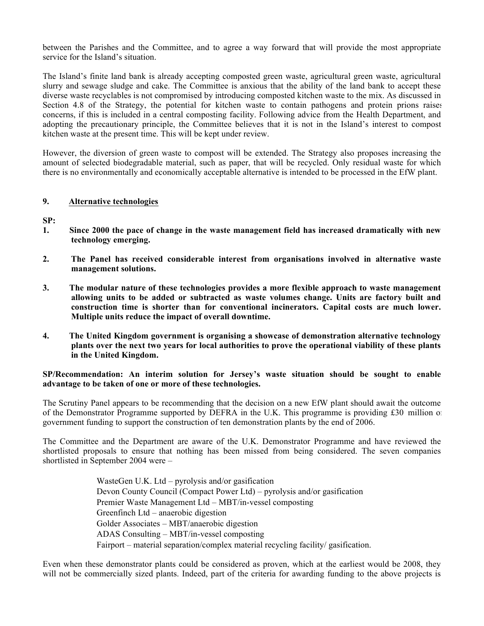between the Parishes and the Committee, and to agree a way forward that will provide the most appropriate service for the Island's situation.

The Island's finite land bank is already accepting composted green waste, agricultural green waste, agricultural slurry and sewage sludge and cake. The Committee is anxious that the ability of the land bank to accept these diverse waste recyclables is not compromised by introducing composted kitchen waste to the mix. As discussed in Section 4.8 of the Strategy, the potential for kitchen waste to contain pathogens and protein prions raises concerns, if this is included in a central composting facility. Following advice from the Health Department, and adopting the precautionary principle, the Committee believes that it is not in the Island's interest to compost kitchen waste at the present time. This will be kept under review.

However, the diversion of green waste to compost will be extended. The Strategy also proposes increasing the amount of selected biodegradable material, such as paper, that will be recycled. Only residual waste for which there is no environmentally and economically acceptable alternative is intended to be processed in the EfW plant.

#### **9. Alternative technologies**

**SP:**

- **1. Since 2000 the pace of change in the waste management field has increased dramatically with new technology emerging.**
- **2. The Panel has received considerable interest from organisations involved in alternative waste management solutions.**
- **3. The modular nature of these technologies provides a more flexible approach to waste management allowing units to be added or subtracted as waste volumes change. Units are factory built and construction time is shorter than for conventional incinerators. Capital costs are much lower. Multiple units reduce the impact of overall downtime.**
- **4. The United Kingdom government is organising a showcase of demonstration alternative technology plants over the next two years for local authorities to prove the operational viability of these plants in the United Kingdom.**

#### **SP/Recommendation: An interim solution for Jersey's waste situation should be sought to enable advantage to be taken of one or more of these technologies.**

The Scrutiny Panel appears to be recommending that the decision on a new EfW plant should await the outcome of the Demonstrator Programme supported by DEFRA in the U.K. This programme is providing £30 million of government funding to support the construction of ten demonstration plants by the end of 2006.

The Committee and the Department are aware of the U.K. Demonstrator Programme and have reviewed the shortlisted proposals to ensure that nothing has been missed from being considered. The seven companies shortlisted in September 2004 were –

> WasteGen U.K. Ltd – pyrolysis and/or gasification Devon County Council (Compact Power Ltd) – pyrolysis and/or gasification Premier Waste Management Ltd – MBT/in-vessel composting Greenfinch Ltd – anaerobic digestion Golder Associates – MBT/anaerobic digestion ADAS Consulting – MBT/in-vessel composting Fairport – material separation/complex material recycling facility/ gasification.

Even when these demonstrator plants could be considered as proven, which at the earliest would be 2008, they will not be commercially sized plants. Indeed, part of the criteria for awarding funding to the above projects is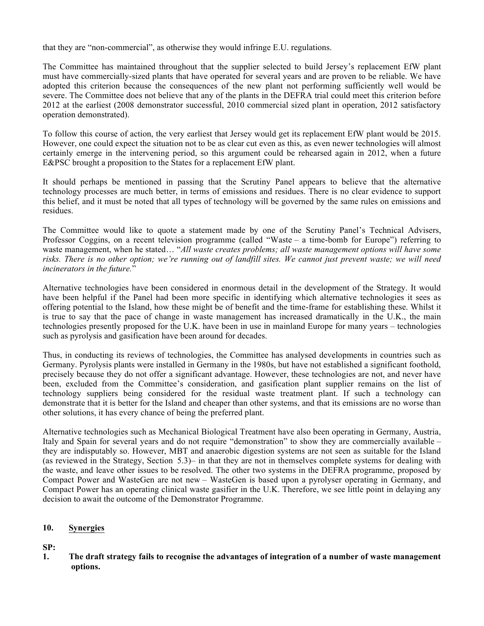that they are "non-commercial", as otherwise they would infringe E.U. regulations.

The Committee has maintained throughout that the supplier selected to build Jersey's replacement EfW plant must have commercially-sized plants that have operated for several years and are proven to be reliable. We have adopted this criterion because the consequences of the new plant not performing sufficiently well would be severe. The Committee does not believe that any of the plants in the DEFRA trial could meet this criterion before 2012 at the earliest (2008 demonstrator successful, 2010 commercial sized plant in operation, 2012 satisfactory operation demonstrated).

To follow this course of action, the very earliest that Jersey would get its replacement EfW plant would be 2015. However, one could expect the situation not to be as clear cut even as this, as even newer technologies will almost certainly emerge in the intervening period, so this argument could be rehearsed again in 2012, when a future E&PSC brought a proposition to the States for a replacement EfW plant.

It should perhaps be mentioned in passing that the Scrutiny Panel appears to believe that the alternative technology processes are much better, in terms of emissions and residues. There is no clear evidence to support this belief, and it must be noted that all types of technology will be governed by the same rules on emissions and residues.

The Committee would like to quote a statement made by one of the Scrutiny Panel's Technical Advisers, Professor Coggins, on a recent television programme (called "Waste – a time-bomb for Europe") referring to waste management, when he stated… "*All waste creates problems; all waste management options will have some risks. There is no other option; we're running out of landfill sites. We cannot just prevent waste; we will need incinerators in the future.*"

Alternative technologies have been considered in enormous detail in the development of the Strategy. It would have been helpful if the Panel had been more specific in identifying which alternative technologies it sees as offering potential to the Island, how these might be of benefit and the time-frame for establishing these. Whilst it is true to say that the pace of change in waste management has increased dramatically in the U.K., the main technologies presently proposed for the U.K. have been in use in mainland Europe for many years – technologies such as pyrolysis and gasification have been around for decades.

Thus, in conducting its reviews of technologies, the Committee has analysed developments in countries such as Germany. Pyrolysis plants were installed in Germany in the 1980s, but have not established a significant foothold, precisely because they do not offer a significant advantage. However, these technologies are not, and never have been, excluded from the Committee's consideration, and gasification plant supplier remains on the list of technology suppliers being considered for the residual waste treatment plant. If such a technology can demonstrate that it is better for the Island and cheaper than other systems, and that its emissions are no worse than other solutions, it has every chance of being the preferred plant.

Alternative technologies such as Mechanical Biological Treatment have also been operating in Germany, Austria, Italy and Spain for several years and do not require "demonstration" to show they are commercially available – they are indisputably so. However, MBT and anaerobic digestion systems are not seen as suitable for the Island (as reviewed in the Strategy, Section 5.3) – in that they are not in themselves complete systems for dealing with the waste, and leave other issues to be resolved. The other two systems in the DEFRA programme, proposed by Compact Power and WasteGen are not new – WasteGen is based upon a pyrolyser operating in Germany, and Compact Power has an operating clinical waste gasifier in the U.K. Therefore, we see little point in delaying any decision to await the outcome of the Demonstrator Programme.

#### **10. Synergies**

#### **SP:**

**1. The draft strategy fails to recognise the advantages of integration of a number of waste management options.**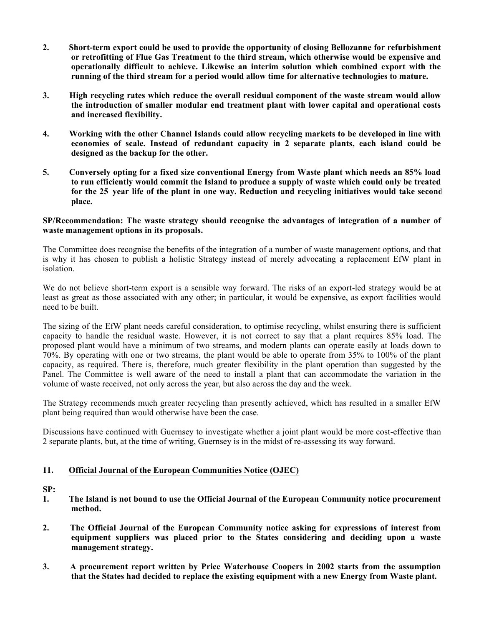- **2. Short-term export could be used to provide the opportunity of closing Bellozanne for refurbishment or retrofitting of Flue Gas Treatment to the third stream, which otherwise would be expensive and operationally difficult to achieve. Likewise an interim solution which combined export with the running of the third stream for a period would allow time for alternative technologies to mature.**
- **3. High recycling rates which reduce the overall residual component of the waste stream would allow the introduction of smaller modular end treatment plant with lower capital and operational costs and increased flexibility.**
- **4. Working with the other Channel Islands could allow recycling markets to be developed in line with economies of scale. Instead of redundant capacity in 2 separate plants, each island could be designed as the backup for the other.**
- **5. Conversely opting for a fixed size conventional Energy from Waste plant which needs an 85% load to run efficiently would commit the Island to produce a supply of waste which could only be treated for the 25 year life of the plant in one way. Reduction and recycling initiatives would take second place.**

#### **SP/Recommendation: The waste strategy should recognise the advantages of integration of a number of waste management options in its proposals.**

The Committee does recognise the benefits of the integration of a number of waste management options, and that is why it has chosen to publish a holistic Strategy instead of merely advocating a replacement EfW plant in isolation.

We do not believe short-term export is a sensible way forward. The risks of an export-led strategy would be at least as great as those associated with any other; in particular, it would be expensive, as export facilities would need to be built.

The sizing of the EfW plant needs careful consideration, to optimise recycling, whilst ensuring there is sufficient capacity to handle the residual waste. However, it is not correct to say that a plant requires 85% load. The proposed plant would have a minimum of two streams, and modern plants can operate easily at loads down to 70%. By operating with one or two streams, the plant would be able to operate from 35% to 100% of the plant capacity, as required. There is, therefore, much greater flexibility in the plant operation than suggested by the Panel. The Committee is well aware of the need to install a plant that can accommodate the variation in the volume of waste received, not only across the year, but also across the day and the week.

The Strategy recommends much greater recycling than presently achieved, which has resulted in a smaller EfW plant being required than would otherwise have been the case.

Discussions have continued with Guernsey to investigate whether a joint plant would be more cost-effective than 2 separate plants, but, at the time of writing, Guernsey is in the midst of re-assessing its way forward.

#### **11. Official Journal of the European Communities Notice (OJEC)**

- **1. The Island is not bound to use the Official Journal of the European Community notice procurement method.**
- **2. The Official Journal of the European Community notice asking for expressions of interest from equipment suppliers was placed prior to the States considering and deciding upon a waste management strategy.**
- **3. A procurement report written by Price Waterhouse Coopers in 2002 starts from the assumption that the States had decided to replace the existing equipment with a new Energy from Waste plant.**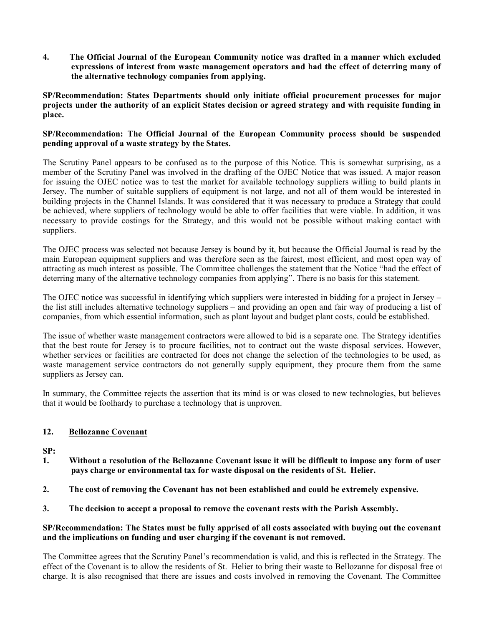**4. The Official Journal of the European Community notice was drafted in a manner which excluded expressions of interest from waste management operators and had the effect of deterring many of the alternative technology companies from applying.**

**SP/Recommendation: States Departments should only initiate official procurement processes for major projects under the authority of an explicit States decision or agreed strategy and with requisite funding in place.**

#### **SP/Recommendation: The Official Journal of the European Community process should be suspended pending approval of a waste strategy by the States.**

The Scrutiny Panel appears to be confused as to the purpose of this Notice. This is somewhat surprising, as a member of the Scrutiny Panel was involved in the drafting of the OJEC Notice that was issued. A major reason for issuing the OJEC notice was to test the market for available technology suppliers willing to build plants in Jersey. The number of suitable suppliers of equipment is not large, and not all of them would be interested in building projects in the Channel Islands. It was considered that it was necessary to produce a Strategy that could be achieved, where suppliers of technology would be able to offer facilities that were viable. In addition, it was necessary to provide costings for the Strategy, and this would not be possible without making contact with suppliers.

The OJEC process was selected not because Jersey is bound by it, but because the Official Journal is read by the main European equipment suppliers and was therefore seen as the fairest, most efficient, and most open way of attracting as much interest as possible. The Committee challenges the statement that the Notice "had the effect of deterring many of the alternative technology companies from applying". There is no basis for this statement.

The OJEC notice was successful in identifying which suppliers were interested in bidding for a project in Jersey – the list still includes alternative technology suppliers – and providing an open and fair way of producing a list of companies, from which essential information, such as plant layout and budget plant costs, could be established.

The issue of whether waste management contractors were allowed to bid is a separate one. The Strategy identifies that the best route for Jersey is to procure facilities, not to contract out the waste disposal services. However, whether services or facilities are contracted for does not change the selection of the technologies to be used, as waste management service contractors do not generally supply equipment, they procure them from the same suppliers as Jersey can.

In summary, the Committee rejects the assertion that its mind is or was closed to new technologies, but believes that it would be foolhardy to purchase a technology that is unproven.

#### **12. Bellozanne Covenant**

**SP:**

- **1. Without a resolution of the Bellozanne Covenant issue it will be difficult to impose any form of user pays charge or environmental tax for waste disposal on the residents of St. Helier.**
- **2. The cost of removing the Covenant has not been established and could be extremely expensive.**
- **3. The decision to accept a proposal to remove the covenant rests with the Parish Assembly.**

#### **SP/Recommendation: The States must be fully apprised of all costs associated with buying out the covenant and the implications on funding and user charging if the covenant is not removed.**

The Committee agrees that the Scrutiny Panel's recommendation is valid, and this is reflected in the Strategy. The effect of the Covenant is to allow the residents of St. Helier to bring their waste to Bellozanne for disposal free of charge. It is also recognised that there are issues and costs involved in removing the Covenant. The Committee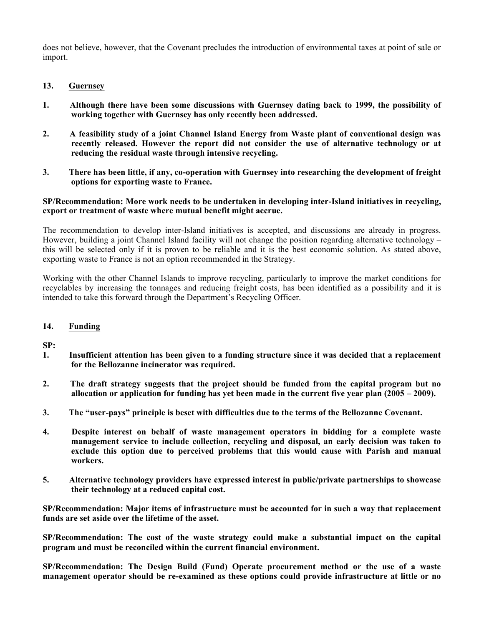does not believe, however, that the Covenant precludes the introduction of environmental taxes at point of sale or import.

- **13. Guernsey**
- **1. Although there have been some discussions with Guernsey dating back to 1999, the possibility of working together with Guernsey has only recently been addressed.**
- **2. A feasibility study of a joint Channel Island Energy from Waste plant of conventional design was recently released. However the report did not consider the use of alternative technology or at reducing the residual waste through intensive recycling.**
- **3. There has been little, if any, co-operation with Guernsey into researching the development of freight options for exporting waste to France.**

#### **SP/Recommendation: More work needs to be undertaken in developing inter-Island initiatives in recycling, export or treatment of waste where mutual benefit might accrue.**

The recommendation to develop inter-Island initiatives is accepted, and discussions are already in progress. However, building a joint Channel Island facility will not change the position regarding alternative technology – this will be selected only if it is proven to be reliable and it is the best economic solution. As stated above, exporting waste to France is not an option recommended in the Strategy.

Working with the other Channel Islands to improve recycling, particularly to improve the market conditions for recyclables by increasing the tonnages and reducing freight costs, has been identified as a possibility and it is intended to take this forward through the Department's Recycling Officer.

#### **14. Funding**

**SP:**

- **1. Insufficient attention has been given to a funding structure since it was decided that a replacement for the Bellozanne incinerator was required.**
- **2. The draft strategy suggests that the project should be funded from the capital program but no allocation or application for funding has yet been made in the current five year plan (2005 – 2009).**
- **3. The "user-pays" principle is beset with difficulties due to the terms of the Bellozanne Covenant.**
- **4. Despite interest on behalf of waste management operators in bidding for a complete waste management service to include collection, recycling and disposal, an early decision was taken to exclude this option due to perceived problems that this would cause with Parish and manual workers.**
- **5. Alternative technology providers have expressed interest in public/private partnerships to showcase their technology at a reduced capital cost.**

**SP/Recommendation: Major items of infrastructure must be accounted for in such a way that replacement funds are set aside over the lifetime of the asset.**

**SP/Recommendation: The cost of the waste strategy could make a substantial impact on the capital program and must be reconciled within the current financial environment.**

**SP/Recommendation: The Design Build (Fund) Operate procurement method or the use of a waste management operator should be re-examined as these options could provide infrastructure at little or no**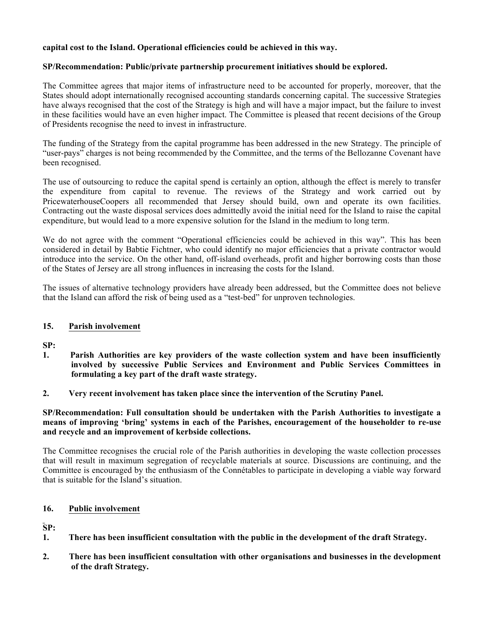#### **capital cost to the Island. Operational efficiencies could be achieved in this way.**

#### **SP/Recommendation: Public/private partnership procurement initiatives should be explored.**

The Committee agrees that major items of infrastructure need to be accounted for properly, moreover, that the States should adopt internationally recognised accounting standards concerning capital. The successive Strategies have always recognised that the cost of the Strategy is high and will have a major impact, but the failure to invest in these facilities would have an even higher impact. The Committee is pleased that recent decisions of the Group of Presidents recognise the need to invest in infrastructure.

The funding of the Strategy from the capital programme has been addressed in the new Strategy. The principle of "user-pays" charges is not being recommended by the Committee, and the terms of the Bellozanne Covenant have been recognised.

The use of outsourcing to reduce the capital spend is certainly an option, although the effect is merely to transfer the expenditure from capital to revenue. The reviews of the Strategy and work carried out by PricewaterhouseCoopers all recommended that Jersey should build, own and operate its own facilities. Contracting out the waste disposal services does admittedly avoid the initial need for the Island to raise the capital expenditure, but would lead to a more expensive solution for the Island in the medium to long term.

We do not agree with the comment "Operational efficiencies could be achieved in this way". This has been considered in detail by Babtie Fichtner, who could identify no major efficiencies that a private contractor would introduce into the service. On the other hand, off-island overheads, profit and higher borrowing costs than those of the States of Jersey are all strong influences in increasing the costs for the Island.

The issues of alternative technology providers have already been addressed, but the Committee does not believe that the Island can afford the risk of being used as a "test-bed" for unproven technologies.

#### **15. Parish involvement**

**SP:**

- **1. Parish Authorities are key providers of the waste collection system and have been insufficiently involved by successive Public Services and Environment and Public Services Committees in formulating a key part of the draft waste strategy.**
- **2. Very recent involvement has taken place since the intervention of the Scrutiny Panel.**

**SP/Recommendation: Full consultation should be undertaken with the Parish Authorities to investigate a means of improving 'bring' systems in each of the Parishes, encouragement of the householder to re-use and recycle and an improvement of kerbside collections.**

The Committee recognises the crucial role of the Parish authorities in developing the waste collection processes that will result in maximum segregation of recyclable materials at source. Discussions are continuing, and the Committee is encouraged by the enthusiasm of the Connétables to participate in developing a viable way forward that is suitable for the Island's situation.

#### **16. Public involvement**

- **1. There has been insufficient consultation with the public in the development of the draft Strategy.**
- **2. There has been insufficient consultation with other organisations and businesses in the development of the draft Strategy.**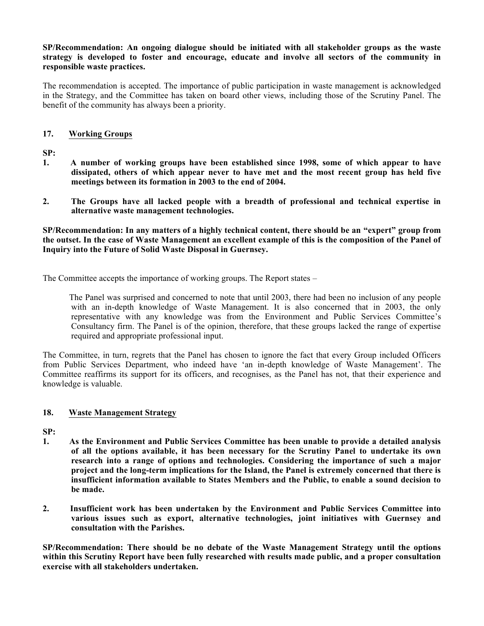#### **SP/Recommendation: An ongoing dialogue should be initiated with all stakeholder groups as the waste strategy is developed to foster and encourage, educate and involve all sectors of the community in responsible waste practices.**

The recommendation is accepted. The importance of public participation in waste management is acknowledged in the Strategy, and the Committee has taken on board other views, including those of the Scrutiny Panel. The benefit of the community has always been a priority.

#### **17. Working Groups**

**SP:**

- **1. A number of working groups have been established since 1998, some of which appear to have dissipated, others of which appear never to have met and the most recent group has held five meetings between its formation in 2003 to the end of 2004.**
- **2. The Groups have all lacked people with a breadth of professional and technical expertise in alternative waste management technologies.**

**SP/Recommendation: In any matters of a highly technical content, there should be an "expert" group from the outset. In the case of Waste Management an excellent example of this is the composition of the Panel of Inquiry into the Future of Solid Waste Disposal in Guernsey.**

The Committee accepts the importance of working groups. The Report states –

 The Panel was surprised and concerned to note that until 2003, there had been no inclusion of any people with an in-depth knowledge of Waste Management. It is also concerned that in 2003, the only representative with any knowledge was from the Environment and Public Services Committee's Consultancy firm. The Panel is of the opinion, therefore, that these groups lacked the range of expertise required and appropriate professional input.

The Committee, in turn, regrets that the Panel has chosen to ignore the fact that every Group included Officers from Public Services Department, who indeed have 'an in-depth knowledge of Waste Management'. The Committee reaffirms its support for its officers, and recognises, as the Panel has not, that their experience and knowledge is valuable.

#### **18. Waste Management Strategy**

**SP:**

- **1. As the Environment and Public Services Committee has been unable to provide a detailed analysis of all the options available, it has been necessary for the Scrutiny Panel to undertake its own research into a range of options and technologies. Considering the importance of such a major project and the long-term implications for the Island, the Panel is extremely concerned that there is insufficient information available to States Members and the Public, to enable a sound decision to be made.**
- **2. Insufficient work has been undertaken by the Environment and Public Services Committee into various issues such as export, alternative technologies, joint initiatives with Guernsey and consultation with the Parishes.**

**SP/Recommendation: There should be no debate of the Waste Management Strategy until the options within this Scrutiny Report have been fully researched with results made public, and a proper consultation exercise with all stakeholders undertaken.**